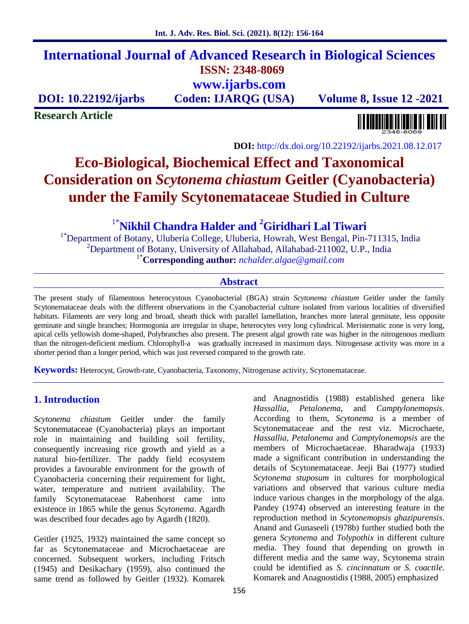# **International Journal of Advanced Research in Biological Sciences ISSN: 2348-8069 www.ijarbs.com**

**DOI: 10.22192/ijarbs Coden: IJARQG (USA) Volume 8, Issue 12 -2021**

**Research Article**



**DOI:** http://dx.doi.org/10.22192/ijarbs.2021.08.12.017

# **Eco-Biological, Biochemical Effect and Taxonomical Consideration on** *Scytonema chiastum* **Geitler (Cyanobacteria) under the Family Scytonemataceae Studied in Culture**

# 1\***Nikhil Chandra Halder and <sup>2</sup>Giridhari Lal Tiwari**

<sup>1\*</sup>Department of Botany, Uluberia College, Uluberia, Howrah, West Bengal, Pin-711315, India <sup>2</sup>Department of Botany, University of Allahabad, Allahabad-211002, U.P., India 1\***Corresponding author:** *nchalder.algae@gmail.com*

# **Abstract**

The present study of filamentous heterocystous Cyanobacterial (BGA) strain *Scytonema chiastum* Geitler under the family Scytonemataceae deals with the different observations in the Cyanobacterial culture isolated from various localities of diversified habitats. Filaments are very long and broad, sheath thick with parallel lamellation, branches more lateral geminate, less opposite geminate and single branches; Hormogonia are irregular in shape, heterocytes very long cylindrical. Meristematic zone is very long, apical cells yellowish dome-shaped, Polybranches also present. The present algal growth rate was higher in the nitrogenous medium than the nitrogen-deficient medium. Chlorophyll-a was gradually increased in maximum days. Nitrogenase activity was more in a shorter period than a longer period, which was just reversed compared to the growth rate.

**Keywords:** Heterocyst, Growth-rate, Cyanobacteria, Taxonomy, Nitrogenase activity, Scytonemataceae.

# **1. Introduction**

*Scytonema chiastum* Geitler under the family Scytonemataceae (Cyanobacteria) plays an important role in maintaining and building soil fertility, consequently increasing rice growth and yield as a natural bio-fertilizer. The paddy field ecosystem provides a favourable environment for the growth of Cyanobacteria concerning their requirement for light, water, temperature and nutrient availability. The family Scytonemataceae Rabenhorst came into existence in 1865 while the genus *Scytonema*. Agardh was described four decades ago by Agardh (1820).

Geitler (1925, 1932) maintained the same concept so far as Scytonemataceae and Microchaetaceae are concerned. Subsequent workers, including Fritsch (1945) and Desikachary (1959), also continued the same trend as followed by Geitler (1932). Komarek

and Anagnostidis (1988) established genera like *Hassallia, Petalonema*, and *Camptylonemopsis*. According to them, *Scytonema* is a member of Scytonemataceae and the rest viz. Microchaete, *Hassallia, Petalonema* and *Camptylonemopsis* are the members of Microchaetaceae. Bharadwaja (1933) made a significant contribution in understanding the details of Scytonemataceae. Jeeji Bai (1977) studied *Scytonema stuposum* in cultures for morphological variations and observed that various culture media induce various changes in the morphology of the alga. Pandey (1974) observed an interesting feature in the reproduction method in *Scytonemopsis ghazipurensis*. Anand and Gunaseeli (1978b) further studied both the genera *Scytonema* and *Tolypothix* in different culture media. They found that depending on growth in different media and the same way, Scytonema strain could be identified as *S. cincinnatum* or *S. coactile*. Komarek and Anagnostidis (1988, 2005) emphasized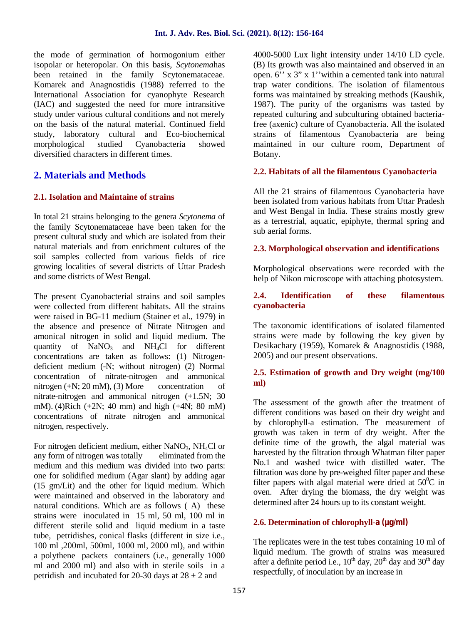the mode of germination of hormogonium either isopolar or heteropolar. On this basis, *Scytonema*has been retained in the family Scytonemataceae. Komarek and Anagnostidis (1988) referred to the International Association for cyanophyte Research (IAC) and suggested the need for more intransitive study under various cultural conditions and not merely on the basis of the natural material. Continued field study, laboratory cultural and Eco-biochemical morphological studied Cyanobacteria showed diversified characters in different times.

# **2. Materials and Methods**

# **2.1. Isolation and Maintaine of strains**

In total 21 strains belonging to the genera *Scytonema* of the family Scytonemataceae have been taken for the present cultural study and which are isolated from their natural materials and from enrichment cultures of the soil samples collected from various fields of rice growing localities of several districts of Uttar Pradesh and some districts of West Bengal.

The present Cyanobacterial strains and soil samples were collected from different habitats. All the strains were raised in BG-11 medium (Stainer et al., 1979) in the absence and presence of Nitrate Nitrogen and amonical nitrogen in solid and liquid medium. The quantity of  $NaNO<sub>3</sub>$  and  $NH<sub>4</sub>Cl$  for different concentrations are taken as follows: (1) Nitrogen deficient medium (-N; without nitrogen) (2) Normal concentration of nitrate-nitrogen and ammonical nitrogen  $(+N; 20 \text{ mM})$ , (3) More concentration of nitrate-nitrogen and ammonical nitrogen (+1.5N; 30 mM). (4)Rich (+2N; 40 mm) and high (+4N; 80 mM) concentrations of nitrate nitrogen and ammonical nitrogen, respectively.

For nitrogen deficient medium, either  $NaNO<sub>3</sub>$ ,  $NH<sub>4</sub>Cl$  or any form of nitrogen was totally eliminated from the medium and this medium was divided into two parts: one for solidified medium (Agar slant) by adding agar (15 gm/Lit) and the other for liquid medium. Which were maintained and observed in the laboratory and natural conditions. Which are as follows ( A) these strains were inoculated in 15 ml, 50 ml, 100 ml in different sterile solid and liquid medium in a taste tube, petridishes, conical flasks (different in size i.e., 100 ml ,200ml, 500ml, 1000 ml, 2000 ml), and within a polythene packets containers (i.e., generally 1000 ml and 2000 ml) and also with in sterile soils in a petridish and incubated for 20-30 days at  $28 \pm 2$  and

4000-5000 Lux light intensity under 14/10 LD cycle. (B) Its growth was also maintained and observed in an open. 6'' x 3" x 1''within a cemented tank into natural trap water conditions. The isolation of filamentous forms was maintained by streaking methods (Kaushik, 1987). The purity of the organisms was tasted by repeated culturing and subculturing obtained bacteriafree (axenic) culture of Cyanobacteria. All the isolated strains of filamentous Cyanobacteria are being maintained in our culture room, Department of Botany.

## **2.2. Habitats of all the filamentous Cyanobacteria**

All the 21 strains of filamentous Cyanobacteria have been isolated from various habitats from Uttar Pradesh and West Bengal in India. These strains mostly grew as a terrestrial, aquatic, epiphyte, thermal spring and sub aerial forms.

## **2.3. Morphological observation and identifications**

Morphological observations were recorded with the help of Nikon microscope with attaching photosystem.

## **2.4. Identification of these filamentous cyanobacteria**

The taxonomic identifications of isolated filamented strains were made by following the key given by Desikachary (1959), Komarek & Anagnostidis (1988, 2005) and our present observations.

# **2.5. Estimation of growth and Dry weight (mg/100 ml)**

The assessment of the growth after the treatment of different conditions was based on their dry weight and by chlorophyll-a estimation. The measurement of growth was taken in term of dry weight. After the definite time of the growth, the algal material was harvested by the filtration through Whatman filter paper No.1 and washed twice with distilled water. The filtration was done by pre-weighed filter paper and these filter papers with algal material were dried at  $50^{\circ}$ C in oven. After drying the biomass, the dry weight was determined after 24 hours up to its constant weight.

# **2.6. Determination of chlorophyll-a (μg/ml)**

The replicates were in the test tubes containing 10 ml of liquid medium. The growth of strains was measured after a definite period i.e.,  $10^{th}$  day,  $20^{th}$  day and  $30^{th}$  day respectfully, of inoculation by an increase in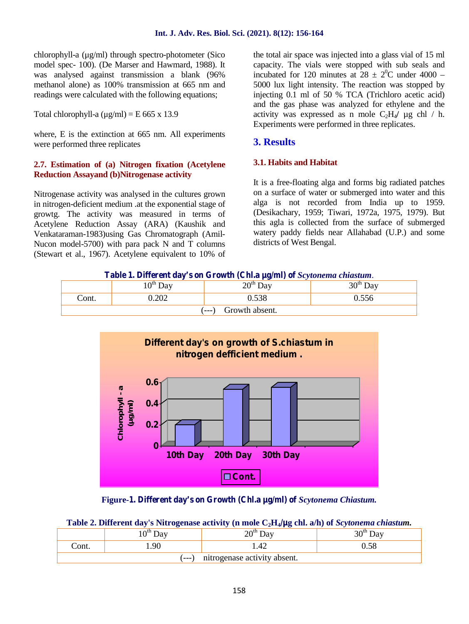chlorophyll-a (μg/ml) through spectro-photometer (Sico model spec- 100). (De Marser and Hawmard, 1988). It was analysed against transmission a blank (96% methanol alone) as 100% transmission at 665 nm and readings were calculated with the following equations;

Total chlorophyll-a  $(\mu\text{g/ml}) = E 665 \times 13.9$ 

where, E is the extinction at 665 nm. All experiments were performed three replicates

## **2.7. Estimation of (a) Nitrogen fixation (Acetylene Reduction Assayand (b)Nitrogenase activity**

Nitrogenase activity was analysed in the cultures grown in nitrogen-deficient medium .at the exponential stage of growtg. The activity was measured in terms of Acetylene Reduction Assay (ARA) (Kaushik and Venkataraman-1983)using Gas Chromatograph (Amil- Nucon model-5700) with para pack N and T columns (Stewart et al., 1967). Acetylene equivalent to 10% of

the total air space was injected into a glass vial of 15 ml capacity. The vials were stopped with sub seals and incubated for 120 minutes at  $28 \pm 2^0C$  under 4000 – 5000 lux light intensity. The reaction was stopped by injecting 0.1 ml of 50 % TCA (Trichloro acetic acid) and the gas phase was analyzed for ethylene and the activity was expressed as n mole  $C_2H_4$  |  $\mu$ g chl / h. Experiments were performed in three replicates.

# **3. Results**

# **3.1. Habits and Habitat**

It is a free-floating alga and forms big radiated patches on a surface of water or submerged into water and this alga is not recorded from India up to 1959. (Desikachary, 1959; Tiwari, 1972a, 1975, 1979). But this agla is collected from the surface of submerged watery paddy fields near Allahabad (U.P.) and some districts of West Bengal.

#### **Table 1. Different day's on Growth (Chl.a μg/ml) of** *Scytonema chiastum*.

| . .<br>$\sim$<br>. . |                                                          |                       |       |  |
|----------------------|----------------------------------------------------------|-----------------------|-------|--|
|                      | $\sim$ th $\sim$<br>$\Delta$ dav<br>1 U                  | $\Omega$<br>Day<br>∠∪ |       |  |
| Cont.                | 0.202                                                    | 0.538                 | 0.556 |  |
|                      | $\Omega$ <sup>th</sup> Day<br>Growth absent.<br>.<br>--- |                       |       |  |



**Figure-1. Different day's on Growth (Chl.a μg/ml) of** *Scytonema Chiastum.*

|                                              | $\sim$ th | $\bm{\mathcal{Q}}$ av | $\sim$ th |  |  |
|----------------------------------------------|-----------|-----------------------|-----------|--|--|
| Cont.                                        | .90       | .42                   |           |  |  |
| itrogenase activity absent.<br>.<br><br>niti |           |                       |           |  |  |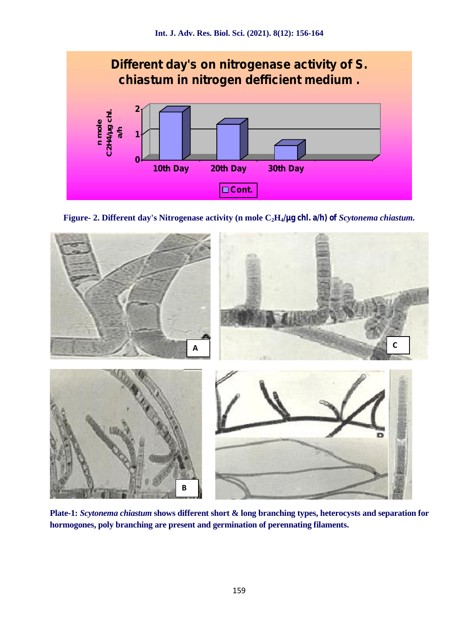

**Figure- 2. Different day's Nitrogenase activity (n mole C2H4/μg chl. a/h) of** *Scytonema chiastum.*



**Plate-1:** *Scytonema chiastum* **shows different short & long branching types, heterocysts and separation for hormogones, poly branching are present and germination of perennating filaments.**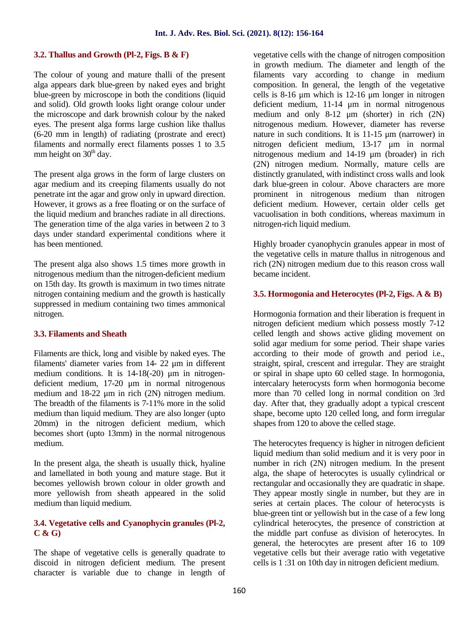#### **3.2. Thallus and Growth (Pl-2, Figs. B & F)**

The colour of young and mature thalli of the present alga appears dark blue-green by naked eyes and bright blue-green by microscope in both the conditions (liquid and solid). Old growth looks light orange colour under the microscope and dark brownish colour by the naked eyes. The present alga forms large cushion like thallus (6-20 mm in length) of radiating (prostrate and erect) filaments and normally erect filaments posses 1 to 3.5 mm height on  $30<sup>th</sup>$  day.

The present alga grows in the form of large clusters on agar medium and its creeping filaments usually do not penetrate int the agar and grow only in upward direction. However, it grows as a free floating or on the surface of the liquid medium and branches radiate in all directions. The generation time of the alga varies in between 2 to 3 days under standard experimental conditions where it has been mentioned.

The present alga also shows 1.5 times more growth in nitrogenous medium than the nitrogen-deficient medium on 15th day. Its growth is maximum in two times nitrate nitrogen containing medium and the growth is hastically suppressed in medium containing two times ammonical nitrogen.

### **3.3. Filaments and Sheath**

Filaments are thick, long and visible by naked eyes. The filaments' diameter varies from 14- 22 μm in different medium conditions. It is 14-18(-20) μm in nitrogen deficient medium, 17-20 μm in normal nitrogenous medium and 18-22 μm in rich (2N) nitrogen medium. The breadth of the filaments is 7-11% more in the solid medium than liquid medium. They are also longer (upto 20mm) in the nitrogen deficient medium, which becomes short (upto 13mm) in the normal nitrogenous medium.

In the present alga, the sheath is usually thick, hyaline and lamellated in both young and mature stage. But it becomes yellowish brown colour in older growth and more yellowish from sheath appeared in the solid medium than liquid medium.

## **3.4. Vegetative cells and Cyanophycin granules (Pl-2, C & G)**

The shape of vegetative cells is generally quadrate to discoid in nitrogen deficient medium. The present character is variable due to change in length of vegetative cells with the change of nitrogen composition in growth medium. The diameter and length of the filaments vary according to change in medium composition. In general, the length of the vegetative cells is 8-16 μm which is 12-16 μm longer in nitrogen deficient medium, 11-14 μm in normal nitrogenous medium and only 8-12 μm (shorter) in rich (2N) nitrogenous medium. However, diameter has reverse nature in such conditions. It is 11-15 μm (narrower) in nitrogen deficient medium, 13-17 μm in normal nitrogenous medium and 14-19 μm (broader) in rich (2N) nitrogen medium. Normally, mature cells are distinctly granulated, with indistinct cross walls and look dark blue-green in colour. Above characters are more prominent in nitrogenous medium than nitrogen deficient medium. However, certain older cells get vacuolisation in both conditions, whereas maximum in nitrogen-rich liquid medium.

Highly broader cyanophycin granules appear in most of the vegetative cells in mature thallus in nitrogenous and rich (2N) nitrogen medium due to this reason cross wall became incident.

#### **3.5. Hormogonia and Heterocytes (Pl-2, Figs. A & B)**

Hormogonia formation and their liberation is frequent in nitrogen deficient medium which possess mostly 7-12 celled length and shows active gliding movement on solid agar medium for some period. Their shape varies according to their mode of growth and period i.e., straight, spiral, crescent and irregular. They are straight or spiral in shape upto 60 celled stage. In hormogonia, intercalary heterocysts form when hormogonia become more than 70 celled long in normal condition on 3rd day. After that, they gradually adopt a typical crescent shape, become upto 120 celled long, and form irregular shapes from 120 to above the celled stage.

The heterocytes frequency is higher in nitrogen deficient liquid medium than solid medium and it is very poor in number in rich (2N) nitrogen medium. In the present alga, the shape of heterocytes is usually cylindrical or rectangular and occasionally they are quadratic in shape. They appear mostly single in number, but they are in series at certain places. The colour of heterocysts is blue-green tint or yellowish but in the case of a few long cylindrical heterocytes, the presence of constriction at the middle part confuse as division of heterocytes. In general, the heterocytes are present after 16 to 109 vegetative cells but their average ratio with vegetative cells is 1 :31 on 10th day in nitrogen deficient medium.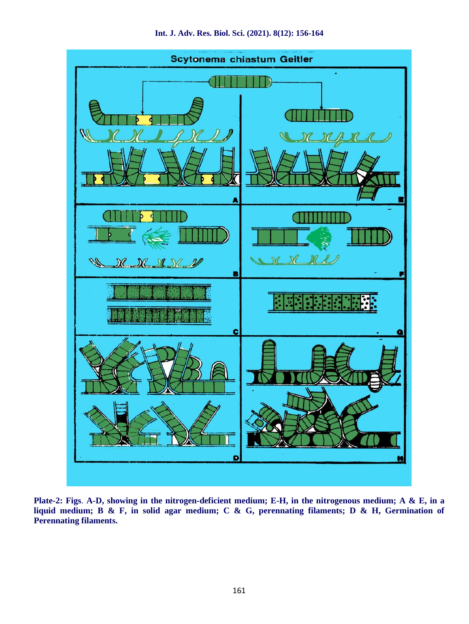

**Plate-2: Figs**. **A-D, showing in the nitrogen-deficient medium; E-H, in the nitrogenous medium; A & E, in a liquid medium; B & F, in solid agar medium; C & G, perennating filaments; D & H, Germination of Perennating filaments.**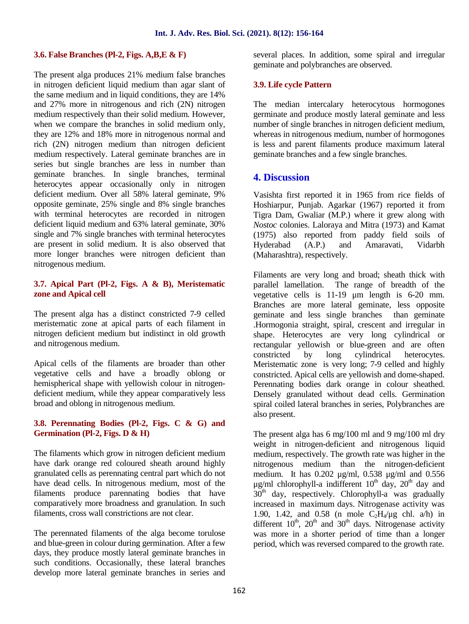#### **3.6. False Branches (Pl-2, Figs. A,B,E & F)**

The present alga produces 21% medium false branches in nitrogen deficient liquid medium than agar slant of the same medium and in liquid conditions, they are 14% and 27% more in nitrogenous and rich (2N) nitrogen medium respectively than their solid medium. However, when we compare the branches in solid medium only, they are 12% and 18% more in nitrogenous normal and rich (2N) nitrogen medium than nitrogen deficient medium respectively. Lateral geminate branches are in series but single branches are less in number than geminate branches. In single branches, terminal heterocytes appear occasionally only in nitrogen deficient medium. Over all 58% lateral geminate, 9% opposite geminate, 25% single and 8% single branches with terminal heterocytes are recorded in nitrogen deficient liquid medium and 63% lateral geminate, 30% single and 7% single branches with terminal heterocytes are present in solid medium. It is also observed that more longer branches were nitrogen deficient than nitrogenous medium.

## **3.7. Apical Part (Pl-2, Figs. A & B), Meristematic zone and Apical cell**

The present alga has a distinct constricted 7-9 celled meristematic zone at apical parts of each filament in nitrogen deficient medium but indistinct in old growth and nitrogenous medium.

Apical cells of the filaments are broader than other vegetative cells and have a broadly oblong or hemispherical shape with yellowish colour in nitrogen deficient medium, while they appear comparatively less broad and oblong in nitrogenous medium.

### **3.8. Perennating Bodies (Pl-2, Figs. C & G) and Germination (Pl-2, Figs. D & H)**

The filaments which grow in nitrogen deficient medium have dark orange red coloured sheath around highly granulated cells as perennating central part which do not have dead cells. In nitrogenous medium, most of the filaments produce parennating bodies that have comparatively more broadness and granulation. In such filaments, cross wall constrictions are not clear.

The perennated filaments of the alga become torulose and blue-green in colour during germination. After a few days, they produce mostly lateral geminate branches in such conditions. Occasionally, these lateral branches develop more lateral geminate branches in series and

several places. In addition, some spiral and irregular geminate and polybranches are observed.

## **3.9. Life cycle Pattern**

The median intercalary heterocytous hormogones germinate and produce mostly lateral geminate and less number of single branches in nitrogen deficient medium, whereas in nitrogenous medium, number of hormogones is less and parent filaments produce maximum lateral geminate branches and a few single branches.

# **4. Discussion**

Vasishta first reported it in 1965 from rice fields of Hoshiarpur, Punjab. Agarkar (1967) reported it from Tigra Dam, Gwaliar (M.P.) where it grew along with *Nostoc* colonies. Laloraya and Mitra (1973) and Kamat (1975) also reported from paddy field soils of Hyderabad (A.P.) and Amaravati, Vidarbh (Maharashtra), respectively.

Filaments are very long and broad; sheath thick with The range of breadth of the vegetative cells is 11-19 μm length is 6-20 mm. Branches are more lateral geminate, less opposite geminate and less single branches than geminate .Hormogonia straight, spiral, crescent and irregular in shape. Heterocytes are very long cylindrical or rectangular yellowish or blue-green and are often constricted by long cylindrical heterocytes. Meristematic zone is very long; 7-9 celled and highly constricted. Apical cells are yellowish and dome-shaped. Perennating bodies dark orange in colour sheathed. Densely granulated without dead cells. Germination spiral coiled lateral branches in series, Polybranches are also present.

The present alga has 6 mg/100 ml and 9 mg/100 ml dry weight in nitrogen-deficient and nitrogenous liquid medium, respectively. The growth rate was higher in the nitrogenous medium than the nitrogen-deficient medium. It has 0.202 μg/ml, 0.538 μg/ml and 0.556  $\mu$ g/ml chlorophyll-a indifferent 10<sup>th</sup> day, 20<sup>th</sup> day and  $30<sup>th</sup>$  day, respectively. Chlorophyll-a was gradually increased in maximum days. Nitrogenase activity was 1.90, 1.42, and 0.58 (n mole  $C_2H_4/\mu$ g chl. a/h) in different  $10^{th}$ ,  $20^{th}$  and  $30^{th}$  days. Nitrogenase activity was more in a shorter period of time than a longer period, which was reversed compared to the growth rate.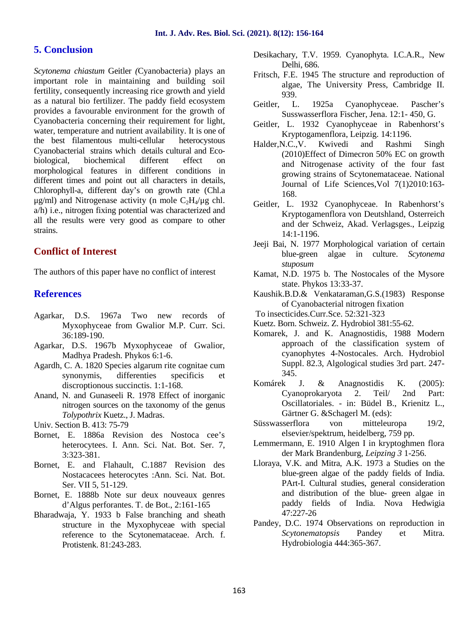# **5. Conclusion**

*Scytonema chiastum* Geitler *(*Cyanobacteria) plays an important role in maintaining and building soil fertility, consequently increasing rice growth and yield as a natural bio fertilizer. The paddy field ecosystem provides a favourable environment for the growth of Cyanobacteria concerning their requirement for light, water, temperature and nutrient availability. It is one of the best filamentous multi-cellular heterocystous Cyanobacterial strains which details cultural and Eco biological, biochemical different effect on morphological features in different conditions in different times and point out all characters in details, Chlorophyll-a, different day's on growth rate (Chl.a  $\mu$ g/ml) and Nitrogenase activity (n mole C<sub>2</sub>H<sub>4</sub>/ $\mu$ g chl. a/h) i.e., nitrogen fixing potential was characterized and all the results were very good as compare to other strains.

# **Conflict of Interest**

The authors of this paper have no conflict of interest

### **References**

- Agarkar, D.S. 1967a Two new records of Myxophyceae from Gwalior M.P. Curr. Sci. 36:189-190.
- Agarkar, D.S. 1967b Myxophyceae of Gwalior, Madhya Pradesh. Phykos 6:1-6.
- Agardh, C. A. 1820 Species algarum rite cognitae cum synonymis, differenties specificis et discroptionous succinctis. 1:1-168.
- Anand, N. and Gunaseeli R. 1978 Effect of inorganic nitrogen sources on the taxonomy of the genus *Tolypothrix* Kuetz., J. Madras.
- Univ. Section B. 413: 75-79
- Bornet, E. 1886a Revision des Nostoca cee's heterocytees. I. Ann. Sci. Nat. Bot. Ser. 7, 3:323-381.
- Bornet, E. and Flahault, C.1887 Revision des Nostacacees heterocytes :Ann. Sci. Nat. Bot. Ser. VII 5, 51-129.
- Bornet, E. 1888b Note sur deux nouveaux genres d'Algus perforantes. T. de Bot., 2:161-165
- Bharadwaja, Y. 1933 b False branching and sheath structure in the Myxophyceae with special reference to the Scytonemataceae. Arch. f. Protistenk. 81:243-283.
- Desikachary, T.V. 1959. Cyanophyta. I.C.A.R., New Delhi, 686.
- Fritsch, F.E. 1945 The structure and reproduction of algae, The University Press, Cambridge II. 939.
- L. 1925a Cyanophyceae. Pascher's Susswasserflora Fischer, Jena. 12:1- 450, G.
- Geitler, L. 1932 Cyanophyceae in Rabenhorst's Kryptogamenflora, Leipzig. 14:1196.
- Halder,N.C.,V. Kwivedi and Rashmi Singh (2010)Effect of Dimecron 50% EC on growth and Nitrogenase activity of the four fast growing strains of Scytonemataceae. National Journal of Life Sciences,Vol 7(1)2010:163- 168.
- Geitler, L. 1932 Cyanophyceae. In Rabenhorst's Kryptogamenflora von Deutshland, Osterreich and der Schweiz, Akad. Verlagsges., Leipzig 14:1-1196.
- Jeeji Bai, N. 1977 Morphological variation of certain blue-green algae in culture. *Scytonema stuposum*
- Kamat, N.D. 1975 b. The Nostocales of the Mysore state. Phykos 13:33-37.
- Kaushik.B.D.& Venkataraman,G.S.(1983) Response of Cyanobacterial nitrogen fixation
- To insecticides.Curr.Sce. 52:321-323
- Kuetz. Born. Schweiz. Z. Hydrobiol 381:55-62.
- Komarek, J. and K. Anagnostidis, 1988 Modern approach of the classification system of cyanophytes 4-Nostocales. Arch. Hydrobiol Suppl. 82.3, Algological studies 3rd part. 247- 345.
- Komárek J. & Anagnostidis K. (2005): Cyanoprokaryota 2. Teil/ 2nd Part: Oscillatoriales. - in: Büdel B., Krienitz L., Gärtner G. &Schagerl M. (eds):
- Süsswasserflora von mitteleuropa 19/2, elsevier/spektrum, heidelberg, 759 pp.
- Lemmermann, E. 1910 Algen I in kryptoghmen flora der Mark Brandenburg, *Leipzing 3* 1-256.
- Lloraya, V.K. and Mitra, A.K. 1973 a Studies on the blue-green algae of the paddy fields of India. PArt-I. Cultural studies, general consideration and distribution of the blue- green algae in paddy fields of India. Nova Hedwigia 47:227-26
- Pandey, D.C. 1974 Observations on reproduction in *Scytonematopsis* Pandey et Mitra. Hydrobiologia 444:365-367.